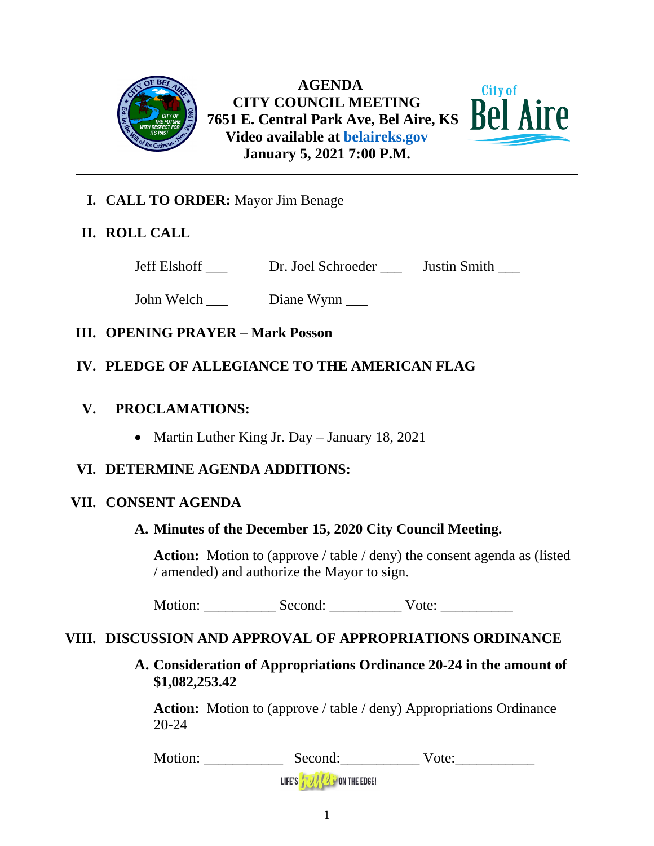

 **AGENDA CITY COUNCIL MEETING 7651 E. Central Park Ave, Bel Aire, KS Video available at [belaireks.gov](http://belaireks.gov/) January 5, 2021 7:00 P.M.**

City of



# **II. ROLL CALL**

Jeff Elshoff \_\_\_ Dr. Joel Schroeder \_\_\_ Justin Smith \_\_\_

John Welch \_\_\_ Diane Wynn \_\_\_

# **III. OPENING PRAYER – Mark Posson**

# **IV. PLEDGE OF ALLEGIANCE TO THE AMERICAN FLAG**

### **V. PROCLAMATIONS:**

• Martin Luther King Jr. Day – January 18, 2021

# **VI. DETERMINE AGENDA ADDITIONS:**

### **VII. CONSENT AGENDA**

# **A. Minutes of the December 15, 2020 City Council Meeting.**

**Action:** Motion to (approve / table / deny) the consent agenda as (listed / amended) and authorize the Mayor to sign.

Motion: Second: Vote:

# **VIII. DISCUSSION AND APPROVAL OF APPROPRIATIONS ORDINANCE**

**A. Consideration of Appropriations Ordinance 20-24 in the amount of \$1,082,253.42**

Action: Motion to (approve / table / deny) Appropriations Ordinance 20-24

Motion: \_\_\_\_\_\_\_\_\_\_\_\_\_\_\_\_ Second: \_\_\_\_\_\_\_\_\_\_\_\_\_\_\_\_ Vote: \_\_\_\_\_\_\_\_\_\_\_\_\_\_\_\_\_\_\_\_\_\_\_\_

LIFE'S **TO IT OF THE EDGE!**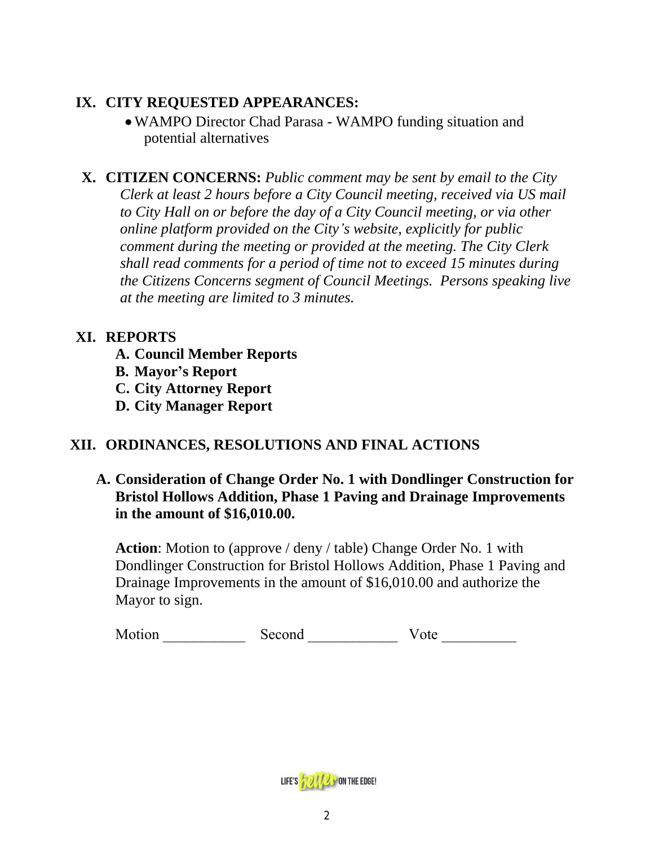# **IX. CITY REQUESTED APPEARANCES:**

 WAMPO Director Chad Parasa - WAMPO funding situation and potential alternatives

**X. CITIZEN CONCERNS:** *Public comment may be sent by email to the City Clerk at least 2 hours before a City Council meeting, received via US mail to City Hall on or before the day of a City Council meeting, or via other online platform provided on the City's website, explicitly for public comment during the meeting or provided at the meeting. The City Clerk shall read comments for a period of time not to exceed 15 minutes during the Citizens Concerns segment of Council Meetings. Persons speaking live at the meeting are limited to 3 minutes.*

# **XI. REPORTS**

**A. Council Member Reports**

**B. Mayor's Report**

**C. City Attorney Report**

**D. City Manager Report**

# **XII. ORDINANCES, RESOLUTIONS AND FINAL ACTIONS**

**A. Consideration of Change Order No. 1 with Dondlinger Construction for Bristol Hollows Addition, Phase 1 Paving and Drainage Improvements in the amount of \$16,010.00.** 

**Action**: Motion to (approve / deny / table) Change Order No. 1 with Dondlinger Construction for Bristol Hollows Addition, Phase 1 Paving and Drainage Improvements in the amount of \$16,010.00 and authorize the Mayor to sign.

| Motion | Second | Vote |
|--------|--------|------|
|        |        |      |